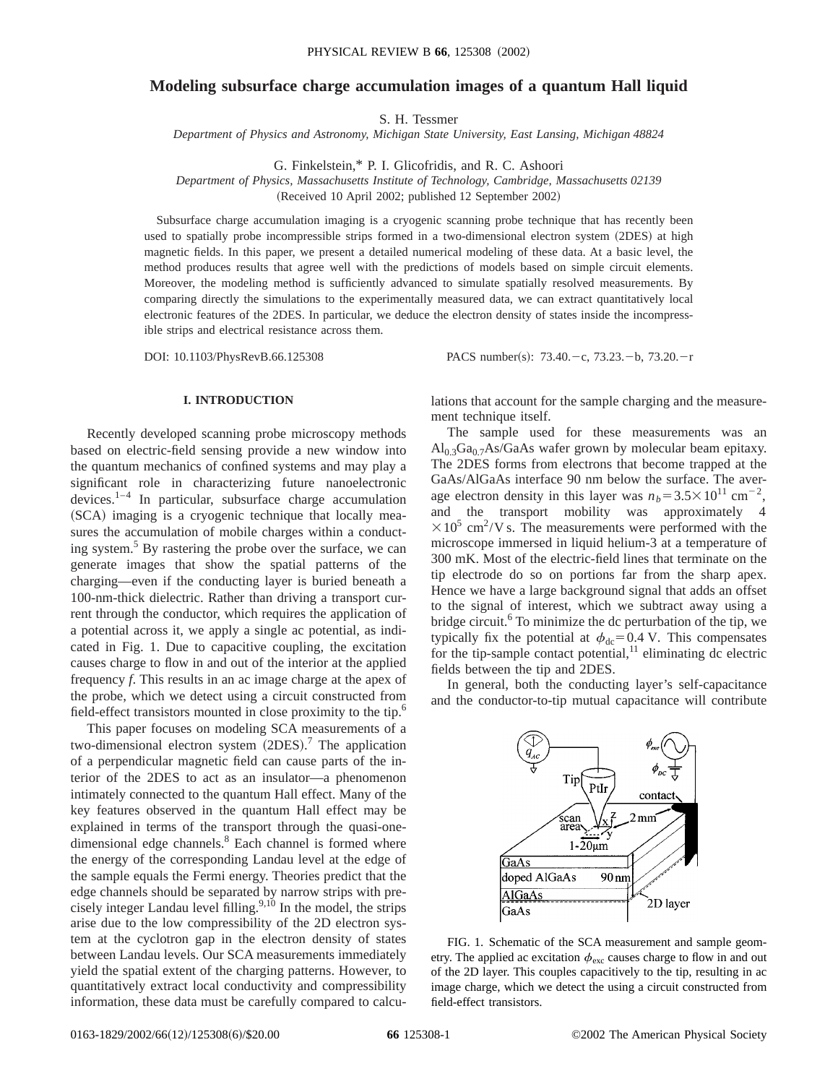# **Modeling subsurface charge accumulation images of a quantum Hall liquid**

S. H. Tessmer

*Department of Physics and Astronomy, Michigan State University, East Lansing, Michigan 48824*

G. Finkelstein,\* P. I. Glicofridis, and R. C. Ashoori

*Department of Physics, Massachusetts Institute of Technology, Cambridge, Massachusetts 02139*

(Received 10 April 2002; published 12 September 2002)

Subsurface charge accumulation imaging is a cryogenic scanning probe technique that has recently been used to spatially probe incompressible strips formed in a two-dimensional electron system (2DES) at high magnetic fields. In this paper, we present a detailed numerical modeling of these data. At a basic level, the method produces results that agree well with the predictions of models based on simple circuit elements. Moreover, the modeling method is sufficiently advanced to simulate spatially resolved measurements. By comparing directly the simulations to the experimentally measured data, we can extract quantitatively local electronic features of the 2DES. In particular, we deduce the electron density of states inside the incompressible strips and electrical resistance across them.

DOI: 10.1103/PhysRevB.66.125308 PACS number(s): 73.40. - c, 73.23. - b, 73.20. - r

## **I. INTRODUCTION**

Recently developed scanning probe microscopy methods based on electric-field sensing provide a new window into the quantum mechanics of confined systems and may play a significant role in characterizing future nanoelectronic devices.1–4 In particular, subsurface charge accumulation (SCA) imaging is a cryogenic technique that locally measures the accumulation of mobile charges within a conducting system.<sup>5</sup> By rastering the probe over the surface, we can generate images that show the spatial patterns of the charging—even if the conducting layer is buried beneath a 100-nm-thick dielectric. Rather than driving a transport current through the conductor, which requires the application of a potential across it, we apply a single ac potential, as indicated in Fig. 1. Due to capacitive coupling, the excitation causes charge to flow in and out of the interior at the applied frequency *f*. This results in an ac image charge at the apex of the probe, which we detect using a circuit constructed from field-effect transistors mounted in close proximity to the tip.<sup>6</sup>

This paper focuses on modeling SCA measurements of a two-dimensional electron system  $(2DES)$ .<sup>7</sup> The application of a perpendicular magnetic field can cause parts of the interior of the 2DES to act as an insulator—a phenomenon intimately connected to the quantum Hall effect. Many of the key features observed in the quantum Hall effect may be explained in terms of the transport through the quasi-onedimensional edge channels.<sup>8</sup> Each channel is formed where the energy of the corresponding Landau level at the edge of the sample equals the Fermi energy. Theories predict that the edge channels should be separated by narrow strips with precisely integer Landau level filling. $9,10$  In the model, the strips arise due to the low compressibility of the 2D electron system at the cyclotron gap in the electron density of states between Landau levels. Our SCA measurements immediately yield the spatial extent of the charging patterns. However, to quantitatively extract local conductivity and compressibility information, these data must be carefully compared to calculations that account for the sample charging and the measurement technique itself.

The sample used for these measurements was an  $Al<sub>0.3</sub>Ga<sub>0.7</sub>As/GaAs$  wafer grown by molecular beam epitaxy. The 2DES forms from electrons that become trapped at the GaAs/AlGaAs interface 90 nm below the surface. The average electron density in this layer was  $n_b = 3.5 \times 10^{11}$  cm<sup>-2</sup>, and the transport mobility was approximately 4  $\times 10^5$  cm<sup>2</sup>/V s. The measurements were performed with the microscope immersed in liquid helium-3 at a temperature of 300 mK. Most of the electric-field lines that terminate on the tip electrode do so on portions far from the sharp apex. Hence we have a large background signal that adds an offset to the signal of interest, which we subtract away using a bridge circuit.<sup>6</sup> To minimize the dc perturbation of the tip, we typically fix the potential at  $\phi_{dc}$ =0.4 V. This compensates for the tip-sample contact potential, $11$  eliminating dc electric fields between the tip and 2DES.

In general, both the conducting layer's self-capacitance and the conductor-to-tip mutual capacitance will contribute



FIG. 1. Schematic of the SCA measurement and sample geometry. The applied ac excitation  $\phi_{\text{exc}}$  causes charge to flow in and out of the 2D layer. This couples capacitively to the tip, resulting in ac image charge, which we detect the using a circuit constructed from field-effect transistors.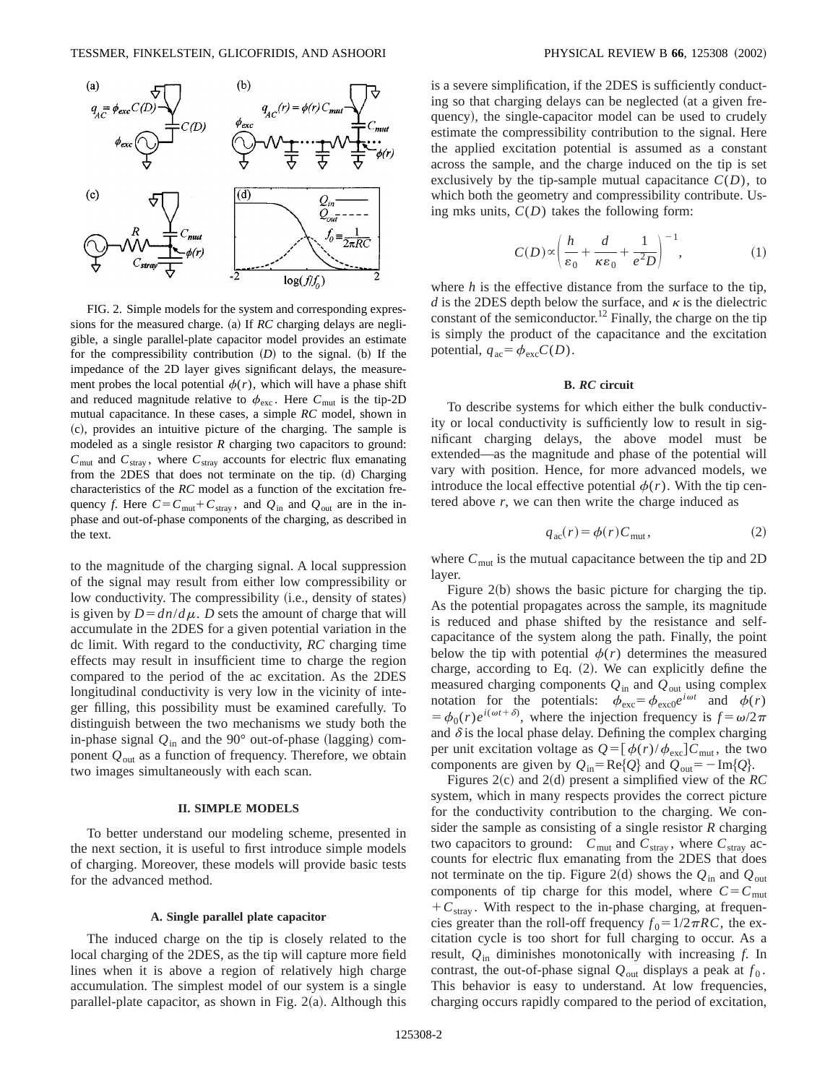

FIG. 2. Simple models for the system and corresponding expressions for the measured charge. (a) If *RC* charging delays are negligible, a single parallel-plate capacitor model provides an estimate for the compressibility contribution  $(D)$  to the signal. (b) If the impedance of the 2D layer gives significant delays, the measurement probes the local potential  $\phi(r)$ , which will have a phase shift and reduced magnitude relative to  $\phi_{\text{exc}}$ . Here  $C_{\text{mut}}$  is the tip-2D mutual capacitance. In these cases, a simple *RC* model, shown in ~c!, provides an intuitive picture of the charging. The sample is modeled as a single resistor *R* charging two capacitors to ground:  $C_{\text{mut}}$  and  $C_{\text{stray}}$ , where  $C_{\text{stray}}$  accounts for electric flux emanating from the 2DES that does not terminate on the tip. (d) Charging characteristics of the *RC* model as a function of the excitation frequency *f*. Here  $C = C_{\text{mut}} + C_{\text{strav}}$ , and  $Q_{\text{in}}$  and  $Q_{\text{out}}$  are in the inphase and out-of-phase components of the charging, as described in the text.

to the magnitude of the charging signal. A local suppression of the signal may result from either low compressibility or low conductivity. The compressibility (i.e., density of states) is given by  $D = dn/d\mu$ . *D* sets the amount of charge that will accumulate in the 2DES for a given potential variation in the dc limit. With regard to the conductivity, *RC* charging time effects may result in insufficient time to charge the region compared to the period of the ac excitation. As the 2DES longitudinal conductivity is very low in the vicinity of integer filling, this possibility must be examined carefully. To distinguish between the two mechanisms we study both the in-phase signal  $Q_{\text{in}}$  and the 90 $^{\circ}$  out-of-phase (lagging) component  $Q_{\text{out}}$  as a function of frequency. Therefore, we obtain two images simultaneously with each scan.

#### **II. SIMPLE MODELS**

To better understand our modeling scheme, presented in the next section, it is useful to first introduce simple models of charging. Moreover, these models will provide basic tests for the advanced method.

#### **A. Single parallel plate capacitor**

The induced charge on the tip is closely related to the local charging of the 2DES, as the tip will capture more field lines when it is above a region of relatively high charge accumulation. The simplest model of our system is a single parallel-plate capacitor, as shown in Fig.  $2(a)$ . Although this is a severe simplification, if the 2DES is sufficiently conducting so that charging delays can be neglected (at a given frequency), the single-capacitor model can be used to crudely estimate the compressibility contribution to the signal. Here the applied excitation potential is assumed as a constant across the sample, and the charge induced on the tip is set exclusively by the tip-sample mutual capacitance  $C(D)$ , to which both the geometry and compressibility contribute. Using mks units, *C*(*D*) takes the following form:

$$
C(D) \propto \left(\frac{h}{\varepsilon_0} + \frac{d}{\kappa \varepsilon_0} + \frac{1}{e^2 D}\right)^{-1},\tag{1}
$$

where *h* is the effective distance from the surface to the tip, *d* is the 2DES depth below the surface, and  $\kappa$  is the dielectric constant of the semiconductor.<sup>12</sup> Finally, the charge on the tip is simply the product of the capacitance and the excitation potential,  $q_{ac} = \phi_{exc} C(D)$ .

## **B.** *RC* **circuit**

To describe systems for which either the bulk conductivity or local conductivity is sufficiently low to result in significant charging delays, the above model must be extended—as the magnitude and phase of the potential will vary with position. Hence, for more advanced models, we introduce the local effective potential  $\phi(r)$ . With the tip centered above *r*, we can then write the charge induced as

$$
q_{ac}(r) = \phi(r)C_{mut},\qquad(2)
$$

where  $C_{\text{mut}}$  is the mutual capacitance between the tip and 2D layer.

Figure  $2(b)$  shows the basic picture for charging the tip. As the potential propagates across the sample, its magnitude is reduced and phase shifted by the resistance and selfcapacitance of the system along the path. Finally, the point below the tip with potential  $\phi(r)$  determines the measured charge, according to Eq.  $(2)$ . We can explicitly define the measured charging components *Q*in and *Q*out using complex notation for the potentials:  $\phi_{\text{exc}} = \phi_{\text{exc0}}e^{i\omega t}$  and  $\phi(r)$  $=$   $\phi_0(r)e^{i(\omega t + \delta)}$ , where the injection frequency is  $f = \omega/2\pi$ and  $\delta$  is the local phase delay. Defining the complex charging per unit excitation voltage as  $Q = [\phi(r)/\phi_{\text{exc}}]C_{\text{mut}}$ , the two components are given by  $Q_{in} = \text{Re}\{Q\}$  and  $Q_{out} = -\text{Im}\{Q\}$ .

Figures  $2(c)$  and  $2(d)$  present a simplified view of the *RC* system, which in many respects provides the correct picture for the conductivity contribution to the charging. We consider the sample as consisting of a single resistor *R* charging two capacitors to ground:  $C_{\text{mut}}$  and  $C_{\text{stray}}$ , where  $C_{\text{stray}}$  accounts for electric flux emanating from the 2DES that does not terminate on the tip. Figure 2(d) shows the  $Q_{\text{in}}$  and  $Q_{\text{out}}$ components of tip charge for this model, where  $C = C<sub>mut</sub>$  $+C_{\text{stray}}$ . With respect to the in-phase charging, at frequencies greater than the roll-off frequency  $f_0 = 1/2\pi RC$ , the excitation cycle is too short for full charging to occur. As a result, *Q*in diminishes monotonically with increasing *f*. In contrast, the out-of-phase signal  $Q_{\text{out}}$  displays a peak at  $f_0$ . This behavior is easy to understand. At low frequencies, charging occurs rapidly compared to the period of excitation,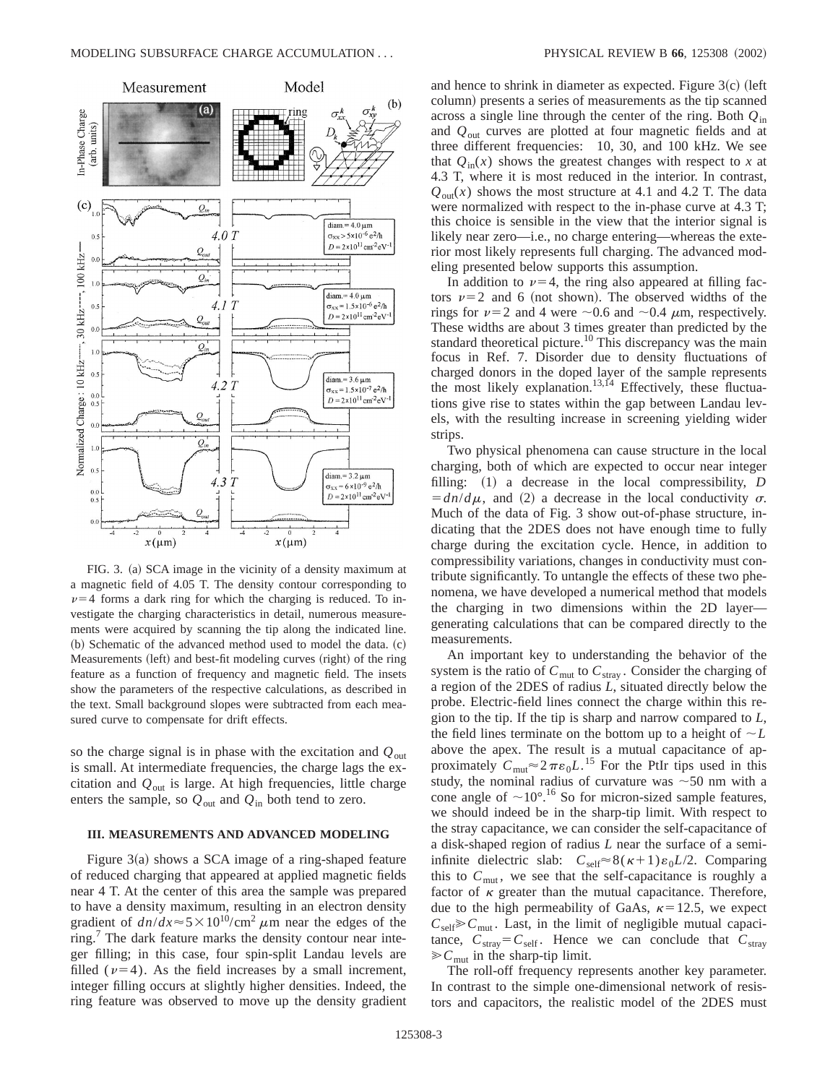

FIG. 3. (a) SCA image in the vicinity of a density maximum at a magnetic field of 4.05 T. The density contour corresponding to  $\nu=4$  forms a dark ring for which the charging is reduced. To investigate the charging characteristics in detail, numerous measurements were acquired by scanning the tip along the indicated line.  $~$  (b) Schematic of the advanced method used to model the data.  $~$  (c) Measurements (left) and best-fit modeling curves (right) of the ring feature as a function of frequency and magnetic field. The insets show the parameters of the respective calculations, as described in the text. Small background slopes were subtracted from each measured curve to compensate for drift effects.

so the charge signal is in phase with the excitation and *Q*out is small. At intermediate frequencies, the charge lags the excitation and *Q*out is large. At high frequencies, little charge enters the sample, so  $Q_{\text{out}}$  and  $Q_{\text{in}}$  both tend to zero.

## **III. MEASUREMENTS AND ADVANCED MODELING**

Figure  $3(a)$  shows a SCA image of a ring-shaped feature of reduced charging that appeared at applied magnetic fields near 4 T. At the center of this area the sample was prepared to have a density maximum, resulting in an electron density gradient of  $dn/dx \approx 5 \times 10^{10}$ /cm<sup>2</sup>  $\mu$ m near the edges of the ring.<sup>7</sup> The dark feature marks the density contour near integer filling; in this case, four spin-split Landau levels are filled ( $\nu=4$ ). As the field increases by a small increment, integer filling occurs at slightly higher densities. Indeed, the ring feature was observed to move up the density gradient and hence to shrink in diameter as expected. Figure  $3(c)$  (left column) presents a series of measurements as the tip scanned across a single line through the center of the ring. Both *Q*in and *Q*out curves are plotted at four magnetic fields and at three different frequencies: 10, 30, and 100 kHz. We see that  $Q_{in}(x)$  shows the greatest changes with respect to x at 4.3 T, where it is most reduced in the interior. In contrast,  $Q_{\text{out}}(x)$  shows the most structure at 4.1 and 4.2 T. The data were normalized with respect to the in-phase curve at 4.3 T; this choice is sensible in the view that the interior signal is likely near zero—i.e., no charge entering—whereas the exterior most likely represents full charging. The advanced modeling presented below supports this assumption.

In addition to  $\nu=4$ , the ring also appeared at filling factors  $\nu=2$  and 6 (not shown). The observed widths of the rings for  $\nu=2$  and 4 were  $\sim$ 0.6 and  $\sim$ 0.4  $\mu$ m, respectively. These widths are about 3 times greater than predicted by the standard theoretical picture.<sup>10</sup> This discrepancy was the main focus in Ref. 7. Disorder due to density fluctuations of charged donors in the doped layer of the sample represents the most likely explanation.<sup>13,14</sup> Effectively, these fluctuations give rise to states within the gap between Landau levels, with the resulting increase in screening yielding wider strips.

Two physical phenomena can cause structure in the local charging, both of which are expected to occur near integer filling: (1) a decrease in the local compressibility, *D*  $=dn/d\mu$ , and (2) a decrease in the local conductivity  $\sigma$ . Much of the data of Fig. 3 show out-of-phase structure, indicating that the 2DES does not have enough time to fully charge during the excitation cycle. Hence, in addition to compressibility variations, changes in conductivity must contribute significantly. To untangle the effects of these two phenomena, we have developed a numerical method that models the charging in two dimensions within the 2D layer generating calculations that can be compared directly to the measurements.

An important key to understanding the behavior of the system is the ratio of  $C_{\text{mut}}$  to  $C_{\text{stray}}$ . Consider the charging of a region of the 2DES of radius *L*, situated directly below the probe. Electric-field lines connect the charge within this region to the tip. If the tip is sharp and narrow compared to *L*, the field lines terminate on the bottom up to a height of  $\sim L$ above the apex. The result is a mutual capacitance of approximately  $C_{\text{mut}} \approx 2 \pi \epsilon_0 L$ .<sup>15</sup> For the PtIr tips used in this study, the nominal radius of curvature was  $\sim$  50 nm with a cone angle of  $\sim 10^{\circ}$ .<sup>16</sup> So for micron-sized sample features, we should indeed be in the sharp-tip limit. With respect to the stray capacitance, we can consider the self-capacitance of a disk-shaped region of radius *L* near the surface of a semiinfinite dielectric slab:  $C_{\text{self}} \approx 8(\kappa+1)\varepsilon_0 L/2$ . Comparing this to  $C_{\text{mut}}$ , we see that the self-capacitance is roughly a factor of  $\kappa$  greater than the mutual capacitance. Therefore, due to the high permeability of GaAs,  $\kappa$ =12.5, we expect  $C_{\text{self}} \geq C_{\text{mut}}$ . Last, in the limit of negligible mutual capacitance,  $C_{\text{stray}} = C_{\text{self}}$ . Hence we can conclude that  $C_{\text{stray}}$  $\gg$ C<sub>mut</sub> in the sharp-tip limit.

The roll-off frequency represents another key parameter. In contrast to the simple one-dimensional network of resistors and capacitors, the realistic model of the 2DES must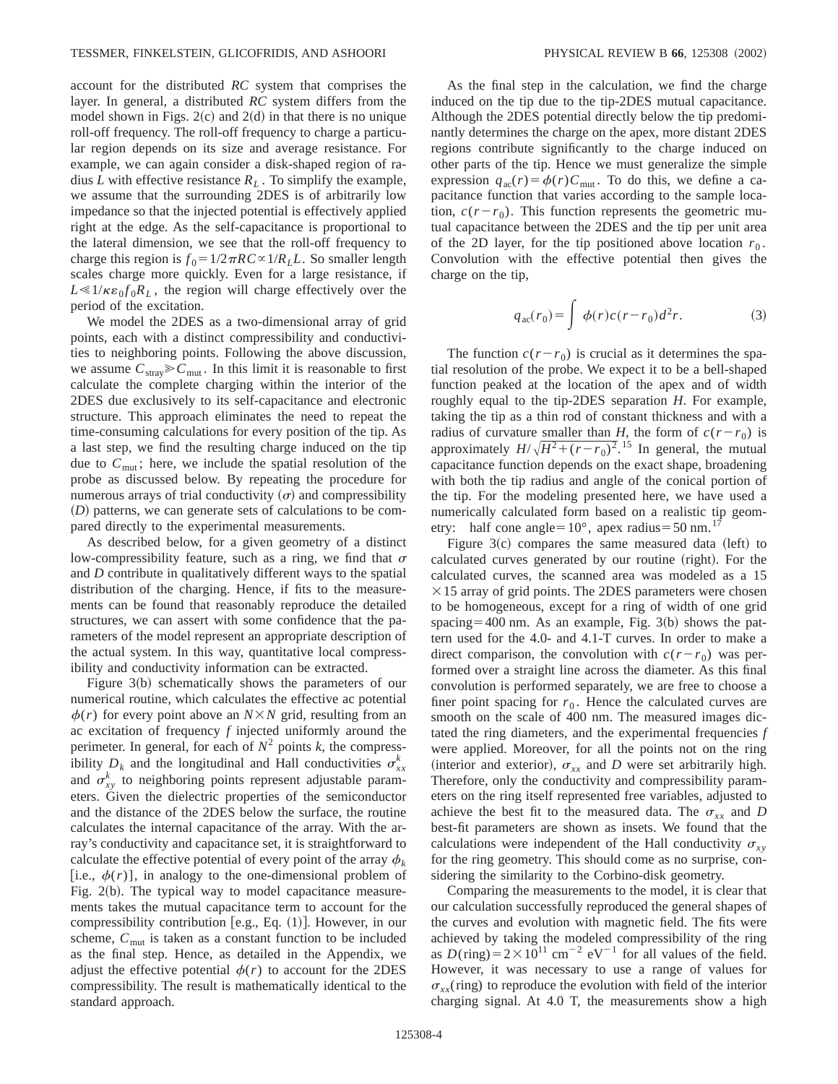account for the distributed *RC* system that comprises the layer. In general, a distributed *RC* system differs from the model shown in Figs.  $2(c)$  and  $2(d)$  in that there is no unique roll-off frequency. The roll-off frequency to charge a particular region depends on its size and average resistance. For example, we can again consider a disk-shaped region of radius *L* with effective resistance  $R_L$ . To simplify the example, we assume that the surrounding 2DES is of arbitrarily low impedance so that the injected potential is effectively applied right at the edge. As the self-capacitance is proportional to the lateral dimension, we see that the roll-off frequency to charge this region is  $f_0 = 1/2\pi RC \propto 1/R_L$ . So smaller length scales charge more quickly. Even for a large resistance, if  $L \ll 1/\kappa \epsilon_0 f_0 R_L$ , the region will charge effectively over the period of the excitation.

We model the 2DES as a two-dimensional array of grid points, each with a distinct compressibility and conductivities to neighboring points. Following the above discussion, we assume  $C_{\text{strav}} \geq C_{\text{mut}}$ . In this limit it is reasonable to first calculate the complete charging within the interior of the 2DES due exclusively to its self-capacitance and electronic structure. This approach eliminates the need to repeat the time-consuming calculations for every position of the tip. As a last step, we find the resulting charge induced on the tip due to  $C_{\text{mut}}$ ; here, we include the spatial resolution of the probe as discussed below. By repeating the procedure for numerous arrays of trial conductivity  $(\sigma)$  and compressibility (D) patterns, we can generate sets of calculations to be compared directly to the experimental measurements.

As described below, for a given geometry of a distinct low-compressibility feature, such as a ring, we find that  $\sigma$ and *D* contribute in qualitatively different ways to the spatial distribution of the charging. Hence, if fits to the measurements can be found that reasonably reproduce the detailed structures, we can assert with some confidence that the parameters of the model represent an appropriate description of the actual system. In this way, quantitative local compressibility and conductivity information can be extracted.

Figure  $3(b)$  schematically shows the parameters of our numerical routine, which calculates the effective ac potential  $\phi(r)$  for every point above an  $N \times N$  grid, resulting from an ac excitation of frequency *f* injected uniformly around the perimeter. In general, for each of  $N^2$  points *k*, the compressibility  $D_k$  and the longitudinal and Hall conductivities  $\sigma_{xx}^k$ and  $\sigma_{xy}^k$  to neighboring points represent adjustable parameters. Given the dielectric properties of the semiconductor and the distance of the 2DES below the surface, the routine calculates the internal capacitance of the array. With the array's conductivity and capacitance set, it is straightforward to calculate the effective potential of every point of the array  $\phi_k$ [i.e.,  $\phi(r)$ ], in analogy to the one-dimensional problem of Fig.  $2(b)$ . The typical way to model capacitance measurements takes the mutual capacitance term to account for the compressibility contribution  $[e.g., Eq. (1)]$ . However, in our scheme,  $C_{\text{mut}}$  is taken as a constant function to be included as the final step. Hence, as detailed in the Appendix, we adjust the effective potential  $\phi(r)$  to account for the 2DES compressibility. The result is mathematically identical to the standard approach.

As the final step in the calculation, we find the charge induced on the tip due to the tip-2DES mutual capacitance. Although the 2DES potential directly below the tip predominantly determines the charge on the apex, more distant 2DES regions contribute significantly to the charge induced on other parts of the tip. Hence we must generalize the simple expression  $q_{ac}(r) = \phi(r)C_{mut}$ . To do this, we define a capacitance function that varies according to the sample location,  $c(r-r_0)$ . This function represents the geometric mutual capacitance between the 2DES and the tip per unit area of the 2D layer, for the tip positioned above location  $r_0$ . Convolution with the effective potential then gives the charge on the tip,

$$
q_{ac}(r_0) = \int \phi(r)c(r - r_0)d^2r.
$$
 (3)

The function  $c(r - r_0)$  is crucial as it determines the spatial resolution of the probe. We expect it to be a bell-shaped function peaked at the location of the apex and of width roughly equal to the tip-2DES separation *H*. For example, taking the tip as a thin rod of constant thickness and with a radius of curvature smaller than *H*, the form of  $c(r-r_0)$  is approximately  $H/\sqrt{H^2 + (r - r_0)^2}$ .<sup>15</sup> In general, the mutual capacitance function depends on the exact shape, broadening with both the tip radius and angle of the conical portion of the tip. For the modeling presented here, we have used a numerically calculated form based on a realistic tip geometry: half cone angle= $10^{\circ}$ , apex radius=50 nm.<sup>17</sup>

Figure  $3(c)$  compares the same measured data (left) to calculated curves generated by our routine (right). For the calculated curves, the scanned area was modeled as a 15  $\times$ 15 array of grid points. The 2DES parameters were chosen to be homogeneous, except for a ring of width of one grid spacing=400 nm. As an example, Fig.  $3(b)$  shows the pattern used for the 4.0- and 4.1-T curves. In order to make a direct comparison, the convolution with  $c(r-r_0)$  was performed over a straight line across the diameter. As this final convolution is performed separately, we are free to choose a finer point spacing for  $r_0$ . Hence the calculated curves are smooth on the scale of 400 nm. The measured images dictated the ring diameters, and the experimental frequencies *f* were applied. Moreover, for all the points not on the ring (interior and exterior),  $\sigma_{xx}$  and *D* were set arbitrarily high. Therefore, only the conductivity and compressibility parameters on the ring itself represented free variables, adjusted to achieve the best fit to the measured data. The  $\sigma_{xx}$  and *D* best-fit parameters are shown as insets. We found that the calculations were independent of the Hall conductivity  $\sigma_{xy}$ for the ring geometry. This should come as no surprise, considering the similarity to the Corbino-disk geometry.

Comparing the measurements to the model, it is clear that our calculation successfully reproduced the general shapes of the curves and evolution with magnetic field. The fits were achieved by taking the modeled compressibility of the ring as  $D(\text{ring})=2\times10^{11} \text{ cm}^{-2} \text{ eV}^{-1}$  for all values of the field. However, it was necessary to use a range of values for  $\sigma_{xx}$ (ring) to reproduce the evolution with field of the interior charging signal. At 4.0 T, the measurements show a high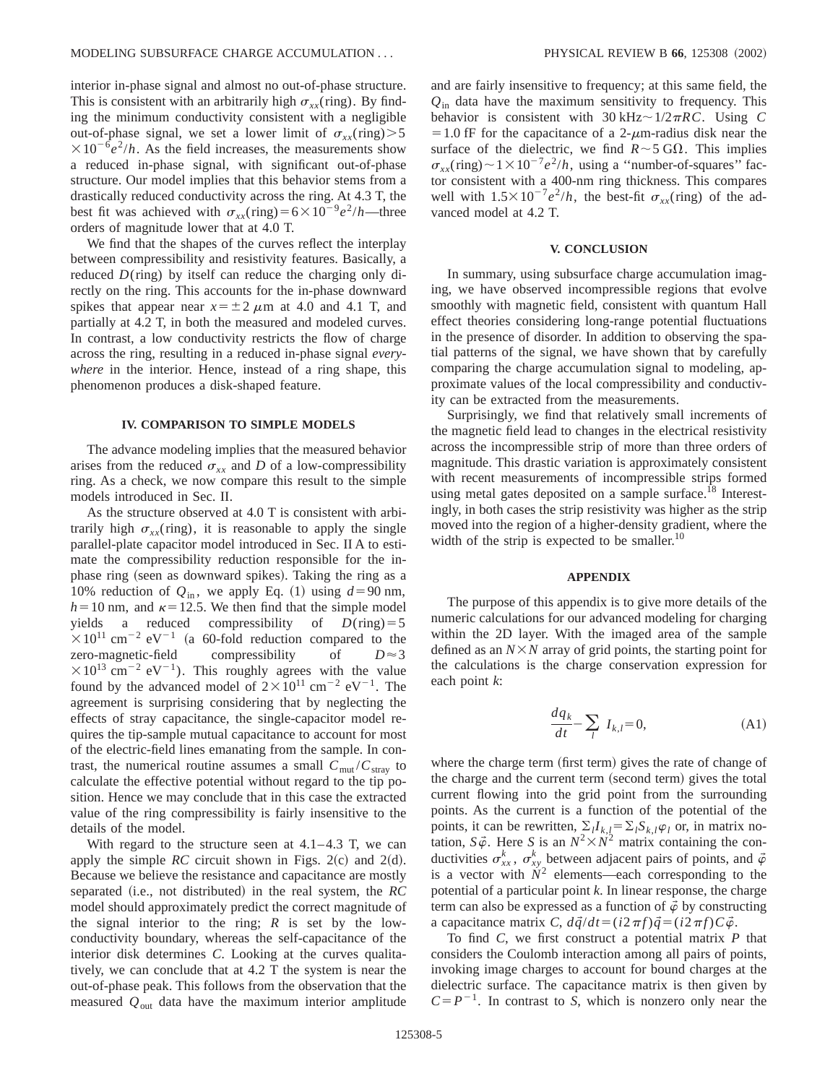interior in-phase signal and almost no out-of-phase structure. This is consistent with an arbitrarily high  $\sigma_{xx}$ (ring). By finding the minimum conductivity consistent with a negligible out-of-phase signal, we set a lower limit of  $\sigma_{rr}(\text{ring}) > 5$  $\times 10^{-6}e^2/h$ . As the field increases, the measurements show a reduced in-phase signal, with significant out-of-phase structure. Our model implies that this behavior stems from a drastically reduced conductivity across the ring. At 4.3 T, the best fit was achieved with  $\sigma_{rr}(\text{ring})=6\times10^{-9}e^2/h$ —three orders of magnitude lower that at 4.0 T.

We find that the shapes of the curves reflect the interplay between compressibility and resistivity features. Basically, a reduced *D*(ring) by itself can reduce the charging only directly on the ring. This accounts for the in-phase downward spikes that appear near  $x = \pm 2 \mu m$  at 4.0 and 4.1 T, and partially at 4.2 T, in both the measured and modeled curves. In contrast, a low conductivity restricts the flow of charge across the ring, resulting in a reduced in-phase signal *everywhere* in the interior. Hence, instead of a ring shape, this phenomenon produces a disk-shaped feature.

### **IV. COMPARISON TO SIMPLE MODELS**

The advance modeling implies that the measured behavior arises from the reduced  $\sigma_{xx}$  and *D* of a low-compressibility ring. As a check, we now compare this result to the simple models introduced in Sec. II.

As the structure observed at 4.0 T is consistent with arbitrarily high  $\sigma_{rr}$ (ring), it is reasonable to apply the single parallel-plate capacitor model introduced in Sec. II A to estimate the compressibility reduction responsible for the inphase ring (seen as downward spikes). Taking the ring as a 10% reduction of  $Q_{\text{in}}$ , we apply Eq. (1) using  $d=90$  nm,  $h=10$  nm, and  $\kappa=12.5$ . We then find that the simple model yields a reduced compressibility of  $D(\text{ring})=5$  $\times 10^{11}$  cm<sup>-2</sup> eV<sup>-1</sup> (a 60-fold reduction compared to the zero-magnetic-field compressibility of  $D \approx 3$  $\times 10^{13}$  cm<sup>-2</sup> eV<sup>-1</sup>). This roughly agrees with the value found by the advanced model of  $2 \times 10^{11}$  cm<sup>-2</sup> eV<sup>-1</sup>. The agreement is surprising considering that by neglecting the effects of stray capacitance, the single-capacitor model requires the tip-sample mutual capacitance to account for most of the electric-field lines emanating from the sample. In contrast, the numerical routine assumes a small  $C_{\text{mut}}/C_{\text{strav}}$  to calculate the effective potential without regard to the tip position. Hence we may conclude that in this case the extracted value of the ring compressibility is fairly insensitive to the details of the model.

With regard to the structure seen at  $4.1-4.3$  T, we can apply the simple *RC* circuit shown in Figs.  $2(c)$  and  $2(d)$ . Because we believe the resistance and capacitance are mostly separated (i.e., not distributed) in the real system, the *RC* model should approximately predict the correct magnitude of the signal interior to the ring; *R* is set by the lowconductivity boundary, whereas the self-capacitance of the interior disk determines *C*. Looking at the curves qualitatively, we can conclude that at 4.2 T the system is near the out-of-phase peak. This follows from the observation that the measured  $Q_{\text{out}}$  data have the maximum interior amplitude and are fairly insensitive to frequency; at this same field, the *Q*in data have the maximum sensitivity to frequency. This behavior is consistent with  $30 \text{ kHz} \sim 1/2 \pi RC$ . Using *C*  $=1.0$  fF for the capacitance of a 2- $\mu$ m-radius disk near the surface of the dielectric, we find  $R \sim 5$  G $\Omega$ . This implies  $\sigma_{xx}$ (ring) $\sim$ 1×10<sup>-7</sup>*e*<sup>2</sup>/*h*, using a "number-of-squares" factor consistent with a 400-nm ring thickness. This compares well with  $1.5 \times 10^{-7} e^2/h$ , the best-fit  $\sigma_{xx}$ (ring) of the advanced model at 4.2 T.

### **V. CONCLUSION**

In summary, using subsurface charge accumulation imaging, we have observed incompressible regions that evolve smoothly with magnetic field, consistent with quantum Hall effect theories considering long-range potential fluctuations in the presence of disorder. In addition to observing the spatial patterns of the signal, we have shown that by carefully comparing the charge accumulation signal to modeling, approximate values of the local compressibility and conductivity can be extracted from the measurements.

Surprisingly, we find that relatively small increments of the magnetic field lead to changes in the electrical resistivity across the incompressible strip of more than three orders of magnitude. This drastic variation is approximately consistent with recent measurements of incompressible strips formed using metal gates deposited on a sample surface.<sup>18</sup> Interestingly, in both cases the strip resistivity was higher as the strip moved into the region of a higher-density gradient, where the width of the strip is expected to be smaller. $^{10}$ 

### **APPENDIX**

The purpose of this appendix is to give more details of the numeric calculations for our advanced modeling for charging within the 2D layer. With the imaged area of the sample defined as an  $N \times N$  array of grid points, the starting point for the calculations is the charge conservation expression for each point *k*:

$$
\frac{dq_k}{dt} - \sum_l I_{k,l} = 0,
$$
\n(A1)

where the charge term (first term) gives the rate of change of the charge and the current term (second term) gives the total current flowing into the grid point from the surrounding points. As the current is a function of the potential of the points, it can be rewritten,  $\sum_{i} I_{k,i} = \sum_{i} S_{k,i} \varphi_i$  or, in matrix notation,  $S\vec{\varphi}$ . Here *S* is an  $N^2 \times N^2$  matrix containing the conductivities  $\sigma_{xx}^k$ ,  $\sigma_{xy}^k$  between adjacent pairs of points, and  $\phi$ is a vector with  $N^2$  elements—each corresponding to the potential of a particular point *k*. In linear response, the charge term can also be expressed as a function of  $\phi$  by constructing a capacitance matrix *C*,  $d\vec{q}/dt = (i2\pi f)\vec{q} = (i2\pi f)C\vec{\varphi}$ .

To find *C*, we first construct a potential matrix *P* that considers the Coulomb interaction among all pairs of points, invoking image charges to account for bound charges at the dielectric surface. The capacitance matrix is then given by  $C = P^{-1}$ . In contrast to *S*, which is nonzero only near the